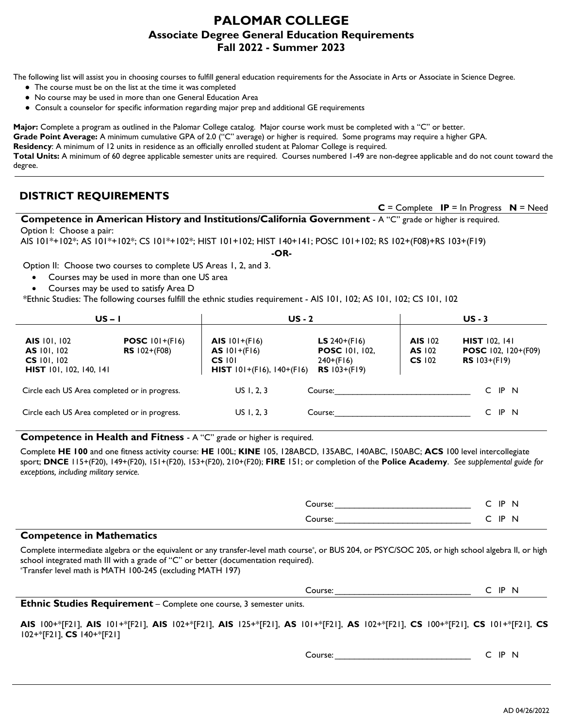## **PALOMAR COLLEGE Associate Degree General Education Requirements Fall 2022 - Summer 2023**

The following list will assist you in choosing courses to fulfill general education requirements for the Associate in Arts or Associate in Science Degree.

- The course must be on the list at the time it was completed
- No course may be used in more than one General Education Area
- Consult a counselor for specific information regarding major prep and additional GE requirements

**Major:** Complete a program as outlined in the Palomar College catalog. Major course work must be completed with a "C" or better. **Grade Point Average:** A minimum cumulative GPA of 2.0 ("C" average) or higher is required. Some programs may require a higher GPA. **Residency**: A minimum of 12 units in residence as an officially enrolled student at Palomar College is required. **Total Units:** A minimum of 60 degree applicable semester units are required. Courses numbered 1-49 are non-degree applicable and do not count toward the degree.

## **DISTRICT REQUIREMENTS**

 **C** = Complete **IP** = In Progress **N** = Need

**Competence in American History and Institutions/California Government** - A "C" grade or higher is required. Option I: Choose a pair:

AIS 101\*+102\*; AS 101\*+102\*; CS 101\*+102\*; HIST 101+102; HIST 140+141; POSC 101+102; RS 102+(F08)+RS 103+(F19)

**-OR-**

Option II: Choose two courses to complete US Areas 1, 2, and 3.

- Courses may be used in more than one US area
- Courses may be used to satisfy Area D
- \*Ethnic Studies: The following courses fulfill the ethnic studies requirement AIS 101, 102; AS 101, 102; CS 101, 102

| $US - I$                                                                              |                                                  | <b>US - 2</b>                                                                              |                                                                                              | $US - 3$                        |                                                                             |
|---------------------------------------------------------------------------------------|--------------------------------------------------|--------------------------------------------------------------------------------------------|----------------------------------------------------------------------------------------------|---------------------------------|-----------------------------------------------------------------------------|
| AIS 101, 102<br><b>AS</b> 101, 102<br>$CS$ 101, 102<br><b>HIST</b> 101, 102, 140, 141 | <b>POSC</b> $101+(F16)$<br><b>RS</b> $102+(F08)$ | AIS $101+(F16)$<br>$AS$ $101+(F16)$<br>$CS$ $101$<br><b>HIST</b> $101+(F16)$ , $140+(F16)$ | <b>LS</b> 240+ $($ F $  6)$<br><b>POSC</b> 101, 102,<br>$240+(F16)$<br><b>RS</b> $103+(F19)$ | AIS 102<br>AS 102<br>$CS$ $102$ | <b>HIST</b> 102, 141<br><b>POSC</b> 102, 120+(F09)<br><b>RS</b> $103+(F19)$ |
| Circle each US Area completed or in progress.                                         |                                                  | US I, 2, 3                                                                                 | Course:                                                                                      |                                 | IP <sub>N</sub><br>C                                                        |
| Circle each US Area completed or in progress.                                         |                                                  | US I, 2, 3                                                                                 | Course:                                                                                      |                                 | IP N                                                                        |

 **Competence in Health and Fitness** - A "C" grade or higher is required.

 Complete **HE 100** and one fitness activity course: **HE** 100L; **KINE** 105, 128ABCD, 135ABC, 140ABC, 150ABC; **ACS** 100 level intercollegiate sport; **DNCE** 115+(F20), 149+(F20), 151+(F20), 153+(F20), 210+(F20); **FIRE** 151; or completion of the **Police Academy**. *See supplemental guide for exceptions, including military service.*

| .<br>$\overline{\phantom{a}}$<br>- |                                       |
|------------------------------------|---------------------------------------|
| $\sim \sim \sim \sim$              | 10<br><br>. .<br>. .<br>$\sim$ $\sim$ |
| $\sim$<br>JUI SE.                  | ΙD<br>- 11 -<br>∼                     |

## **Competence in Mathematics**

 Complete intermediate algebra or the equivalent or any transfer-level math course\*, or BUS 204, or PSYC/SOC 205, or high school algebra II, or high school integrated math III with a grade of "C" or better (documentation required).

\*Transfer level math is MATH 100-245 (excluding MATH 197)

| Course: |  | IP | N |
|---------|--|----|---|
|---------|--|----|---|

**Ethnic Studies Requirement** – Complete one course, 3 semester units.

**AIS** 100+\*[F21], **AIS** 101+\*[F21], **AIS** 102+\*[F21], **AIS** 125+\*[F21], **AS** 101+\*[F21], **AS** 102+\*[F21], **CS** 100+\*[F21], **CS** 101+\*[F21], **CS** 102+\*[F21], **CS** 140+\*[F21]

Course: Course: C IP N